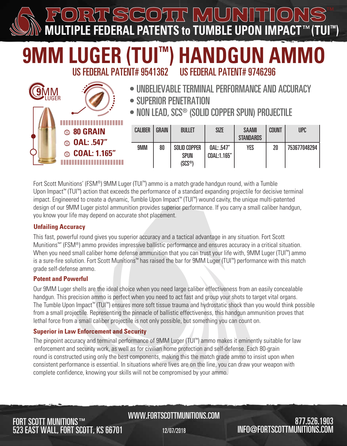<u>Lyjl</u> **MULTIPLE FEDERAL PATENTS to TUMBLE UPON IMPACT M LUGER (TUI™) HANDGUN AMMO** US FEDERAL PATENT# 9541362 US FEDERAL PATENT# 9746296 • UNBELIEVABLE TERMINAL PERFORMANCE AND ACCURACY **9**MM LUGER • SUPERIOR PENETRATION • NON LEAD, SCS® (SOLID COPPER SPUN) PROJECTILE CALIBER GRAIN | BULLET | SIZE | SAAMI COUNT UPC **80 GRAIN STANDARDS OAL: .547"** 9MM 90 SOLID COPPER  $NAI \cdot 547''$ YES | 20 | 753677048294 **COAL: 1.165"** SPUN COAL:1.165" (SCS®)

Fort Scott Munitions' (FSM®) 9MM Luger (TUI™) ammo is a match grade handgun round, with a Tumble Upon Impact™ (TUI™) action that exceeds the performance of a standard expanding projectile for decisive terminal impact. Engineered to create a dynamic, Tumble Upon Impact™ (TUI™) wound cavity, the unique multi-patented design of our 9MM Luger pistol ammunition provides superior performance. If you carry a small caliber handgun, you know your life may depend on accurate shot placement.

## **Unfailing Accuracy**

This fast, powerful round gives you superior accuracy and a tactical advantage in any situation. Fort Scott Munitions™' (FSM®) ammo provides impressive ballistic performance and ensures accuracy in a critical situation. When you need small caliber home defense ammunition that you can trust your life with, 9MM Luger (TUI™) ammo is a sure-fire solution. Fort Scott Munitions™ has raised the bar for 9MM Luger (TUI™) performance with this match grade self-defense ammo.

## **Potent and Powerful**

Our 9MM Luger shells are the ideal choice when you need large caliber effectiveness from an easily concealable handgun. This precision ammo is perfect when you need to act fast and group your shots to target vital organs. The Tumble Upon Impact™ (TUI™) ensures more soft tissue trauma and hydrostatic shock than you would think possible from a small projectile. Representing the pinnacle of ballistic effectiveness, this handgun ammunition proves that lethal force from a small caliber projectile is not only possible, but something you can count on.

## **Superior in Law Enforcement and Security**

The pinpoint accuracy and terminal performance of 9MM Luger (TUI™) ammo makes it eminently suitable for law enforcement and security work, as well as for civilian home protection and self-defense. Each 80-grain round is constructed using only the best components, making this the match grade ammo to insist upon when consistent performance is essential. In situations where lives are on the line, you can draw your weapon with complete confidence, knowing your skills will not be compromised by your ammo.

## FORT SCOTT MUNITIONS™ 523 EAST WALL, FORT SCOTT, KS 66701

## MWW.FORTSCOTTMUNITIONS.COM∩NS ™

12/07/2018